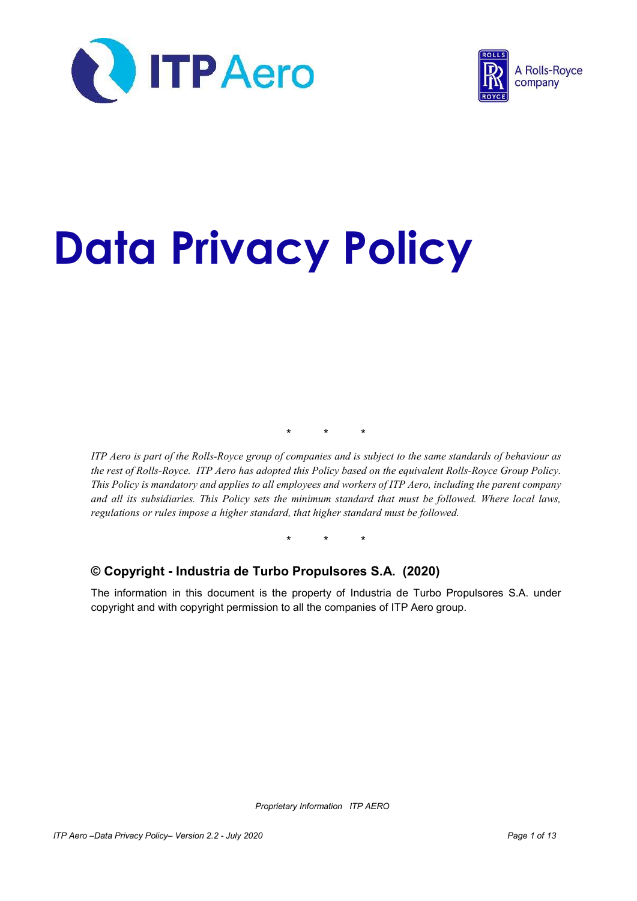



# Data Privacy Policy

\* \* \*

ITP Aero is part of the Rolls-Royce group of companies and is subject to the same standards of behaviour as the rest of Rolls-Royce. ITP Aero has adopted this Policy based on the equivalent Rolls-Royce Group Policy. This Policy is mandatory and applies to all employees and workers of ITP Aero, including the parent company and all its subsidiaries. This Policy sets the minimum standard that must be followed. Where local laws, regulations or rules impose a higher standard, that higher standard must be followed.

\* \* \*

## © Copyright - Industria de Turbo Propulsores S.A. (2020)

The information in this document is the property of Industria de Turbo Propulsores S.A. under copyright and with copyright permission to all the companies of ITP Aero group.

Proprietary Information ITP AERO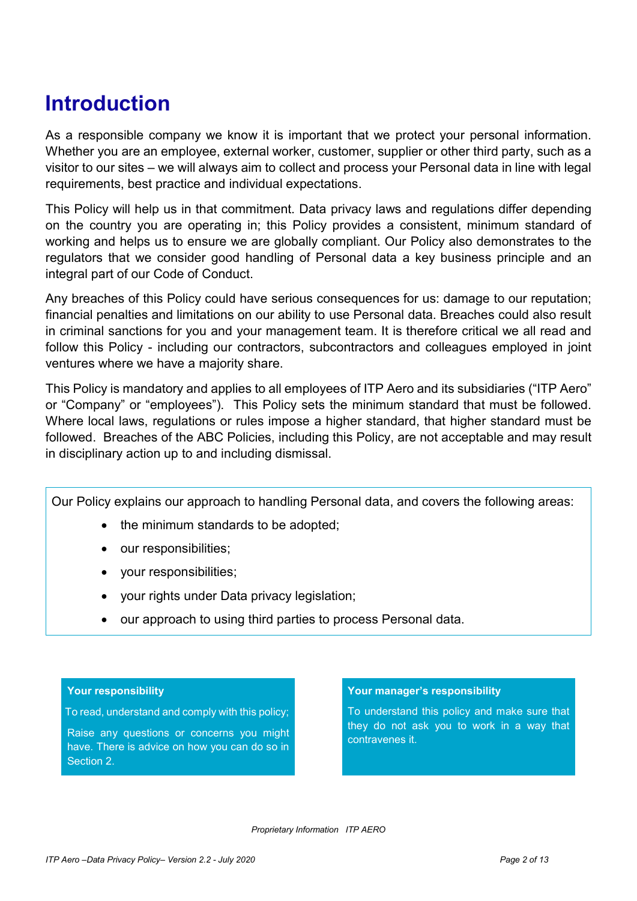# Introduction

As a responsible company we know it is important that we protect your personal information. Whether you are an employee, external worker, customer, supplier or other third party, such as a visitor to our sites – we will always aim to collect and process your Personal data in line with legal requirements, best practice and individual expectations.

This Policy will help us in that commitment. Data privacy laws and regulations differ depending on the country you are operating in; this Policy provides a consistent, minimum standard of working and helps us to ensure we are globally compliant. Our Policy also demonstrates to the regulators that we consider good handling of Personal data a key business principle and an integral part of our Code of Conduct.

Any breaches of this Policy could have serious consequences for us: damage to our reputation; financial penalties and limitations on our ability to use Personal data. Breaches could also result in criminal sanctions for you and your management team. It is therefore critical we all read and follow this Policy - including our contractors, subcontractors and colleagues employed in joint ventures where we have a majority share.

This Policy is mandatory and applies to all employees of ITP Aero and its subsidiaries ("ITP Aero" or "Company" or "employees"). This Policy sets the minimum standard that must be followed. Where local laws, regulations or rules impose a higher standard, that higher standard must be followed. Breaches of the ABC Policies, including this Policy, are not acceptable and may result in disciplinary action up to and including dismissal.

Our Policy explains our approach to handling Personal data, and covers the following areas:

- the minimum standards to be adopted;
- our responsibilities;
- your responsibilities;
- your rights under Data privacy legislation;
- our approach to using third parties to process Personal data.

#### Your responsibility

To read, understand and comply with this policy;

Raise any questions or concerns you might have. There is advice on how you can do so in Section 2.

#### Your manager's responsibility

To understand this policy and make sure that they do not ask you to work in a way that contravenes it.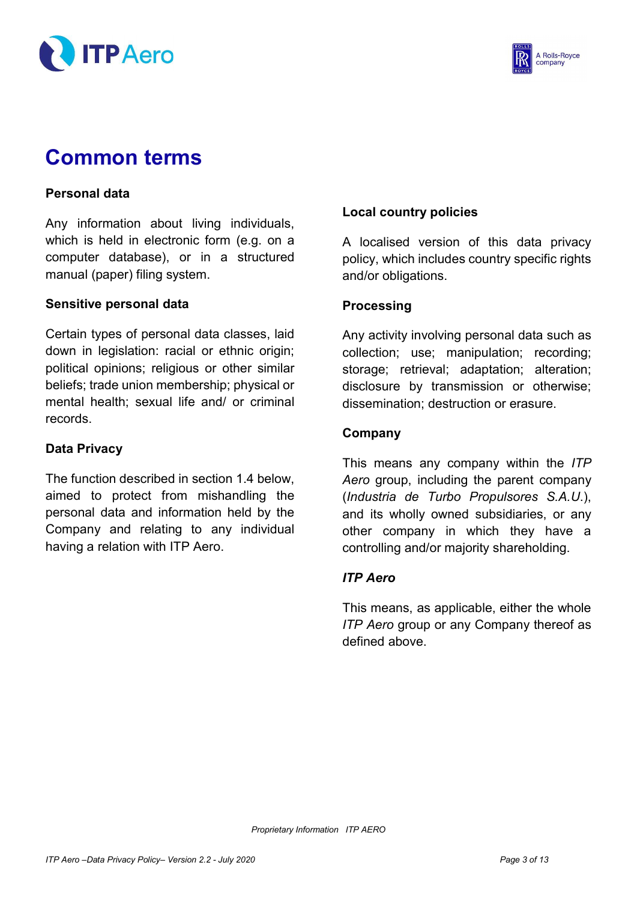



# Common terms

## Personal data

Any information about living individuals, which is held in electronic form (e.g. on a computer database), or in a structured manual (paper) filing system.

#### Sensitive personal data

Certain types of personal data classes, laid down in legislation: racial or ethnic origin; political opinions; religious or other similar beliefs; trade union membership; physical or mental health; sexual life and/ or criminal records.

#### Data Privacy

The function described in section 1.4 below, aimed to protect from mishandling the personal data and information held by the Company and relating to any individual having a relation with ITP Aero.

## Local country policies

A localised version of this data privacy policy, which includes country specific rights and/or obligations.

#### **Processing**

Any activity involving personal data such as collection; use; manipulation; recording; storage; retrieval; adaptation; alteration; disclosure by transmission or otherwise; dissemination; destruction or erasure.

#### Company

This means any company within the ITP Aero group, including the parent company (Industria de Turbo Propulsores S.A.U.), and its wholly owned subsidiaries, or any other company in which they have a controlling and/or majority shareholding.

## ITP Aero

This means, as applicable, either the whole ITP Aero group or any Company thereof as defined above.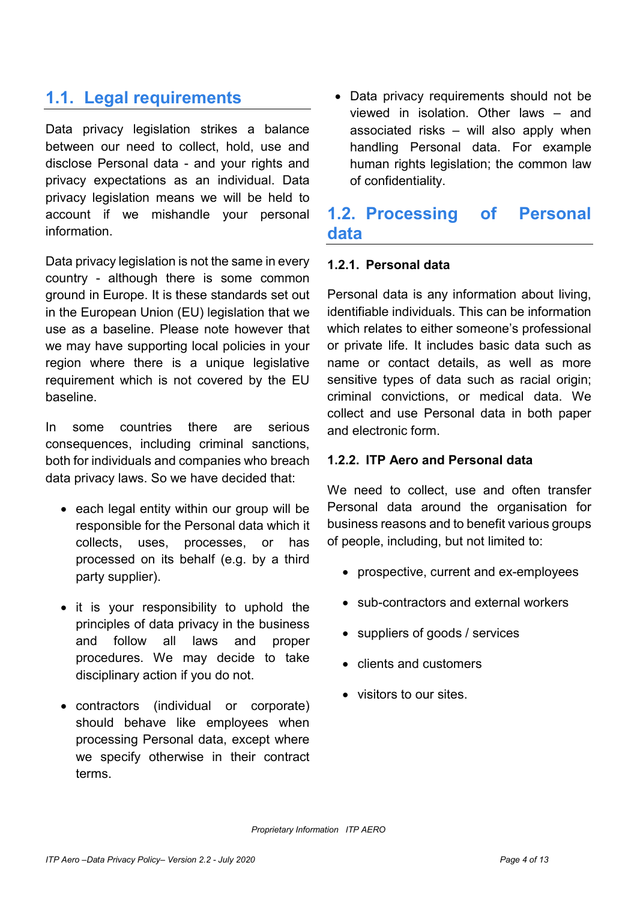## 1.1. Legal requirements

Data privacy legislation strikes a balance between our need to collect, hold, use and disclose Personal data - and your rights and privacy expectations as an individual. Data privacy legislation means we will be held to account if we mishandle your personal information.

Data privacy legislation is not the same in every country - although there is some common ground in Europe. It is these standards set out in the European Union (EU) legislation that we use as a baseline. Please note however that we may have supporting local policies in your region where there is a unique legislative requirement which is not covered by the EU baseline.

In some countries there are serious consequences, including criminal sanctions, both for individuals and companies who breach data privacy laws. So we have decided that:

- each legal entity within our group will be responsible for the Personal data which it collects, uses, processes, or has processed on its behalf (e.g. by a third party supplier).
- $\bullet$  it is your responsibility to uphold the principles of data privacy in the business and follow all laws and proper procedures. We may decide to take disciplinary action if you do not.
- contractors (individual or corporate) should behave like employees when processing Personal data, except where we specify otherwise in their contract terms.

• Data privacy requirements should not be viewed in isolation. Other laws – and associated risks – will also apply when handling Personal data. For example human rights legislation; the common law of confidentiality.

## 1.2. Processing of Personal data

## 1.2.1. Personal data

Personal data is any information about living, identifiable individuals. This can be information which relates to either someone's professional or private life. It includes basic data such as name or contact details, as well as more sensitive types of data such as racial origin; criminal convictions, or medical data. We collect and use Personal data in both paper and electronic form.

## 1.2.2. ITP Aero and Personal data

We need to collect, use and often transfer Personal data around the organisation for business reasons and to benefit various groups of people, including, but not limited to:

- prospective, current and ex-employees
- sub-contractors and external workers
- suppliers of goods / services
- clients and customers
- visitors to our sites.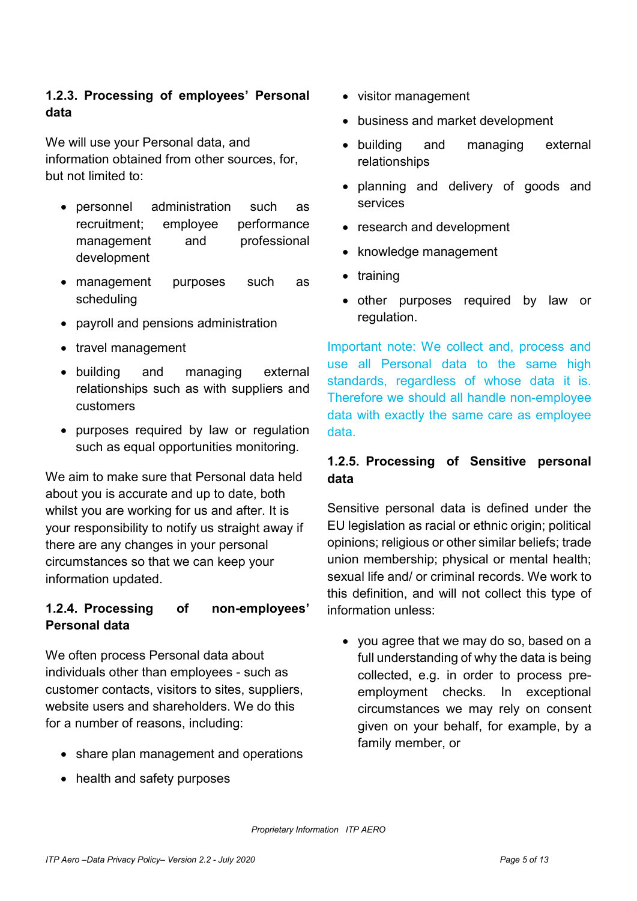## 1.2.3. Processing of employees' Personal data

We will use your Personal data, and information obtained from other sources, for, but not limited to:

- personnel administration such as recruitment; employee performance management and professional development
- management purposes such as scheduling
- payroll and pensions administration
- travel management
- building and managing external relationships such as with suppliers and customers
- purposes required by law or regulation such as equal opportunities monitoring.

We aim to make sure that Personal data held about you is accurate and up to date, both whilst you are working for us and after. It is your responsibility to notify us straight away if there are any changes in your personal circumstances so that we can keep your information updated.

## 1.2.4. Processing of non-employees' Personal data

We often process Personal data about individuals other than employees - such as customer contacts, visitors to sites, suppliers, website users and shareholders. We do this for a number of reasons, including:

- share plan management and operations
- health and safety purposes
- visitor management
- business and market development
- building and managing external relationships
- planning and delivery of goods and services
- research and development
- knowledge management
- training
- other purposes required by law or regulation.

Important note: We collect and, process and use all Personal data to the same high standards, regardless of whose data it is. Therefore we should all handle non-employee data with exactly the same care as employee data.

## 1.2.5. Processing of Sensitive personal data

Sensitive personal data is defined under the EU legislation as racial or ethnic origin; political opinions; religious or other similar beliefs; trade union membership; physical or mental health; sexual life and/ or criminal records. We work to this definition, and will not collect this type of information unless:

 you agree that we may do so, based on a full understanding of why the data is being collected, e.g. in order to process preemployment checks. In exceptional circumstances we may rely on consent given on your behalf, for example, by a family member, or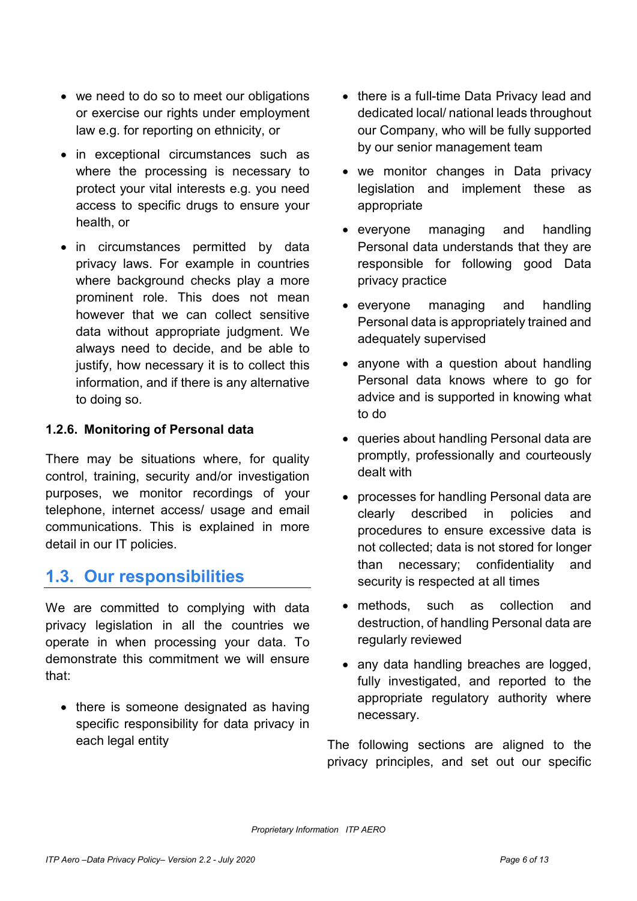- we need to do so to meet our obligations or exercise our rights under employment law e.g. for reporting on ethnicity, or
- in exceptional circumstances such as where the processing is necessary to protect your vital interests e.g. you need access to specific drugs to ensure your health, or
- in circumstances permitted by data privacy laws. For example in countries where background checks play a more prominent role. This does not mean however that we can collect sensitive data without appropriate judgment. We always need to decide, and be able to justify, how necessary it is to collect this information, and if there is any alternative to doing so.

## 1.2.6. Monitoring of Personal data

There may be situations where, for quality control, training, security and/or investigation purposes, we monitor recordings of your telephone, internet access/ usage and email communications. This is explained in more detail in our IT policies.

## 1.3. Our responsibilities

We are committed to complying with data privacy legislation in all the countries we operate in when processing your data. To demonstrate this commitment we will ensure that:

• there is someone designated as having specific responsibility for data privacy in each legal entity

- there is a full-time Data Privacy lead and dedicated local/ national leads throughout our Company, who will be fully supported by our senior management team
- we monitor changes in Data privacy legislation and implement these as appropriate
- everyone managing and handling Personal data understands that they are responsible for following good Data privacy practice
- everyone managing and handling Personal data is appropriately trained and adequately supervised
- anyone with a question about handling Personal data knows where to go for advice and is supported in knowing what to do
- queries about handling Personal data are promptly, professionally and courteously dealt with
- processes for handling Personal data are clearly described in policies and procedures to ensure excessive data is not collected; data is not stored for longer than necessary; confidentiality and security is respected at all times
- methods, such as collection and destruction, of handling Personal data are regularly reviewed
- any data handling breaches are logged, fully investigated, and reported to the appropriate regulatory authority where necessary.

The following sections are aligned to the privacy principles, and set out our specific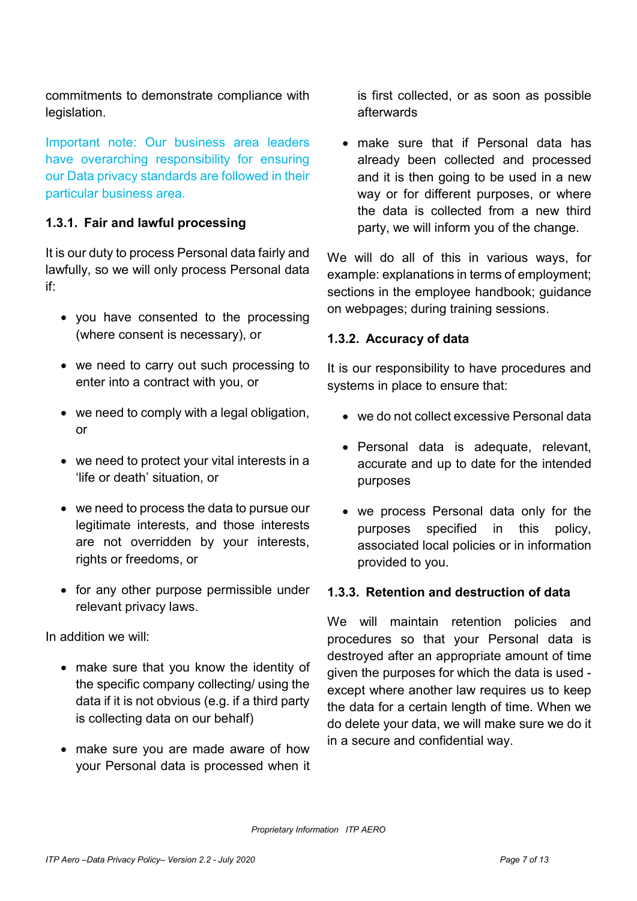commitments to demonstrate compliance with legislation.

Important note: Our business area leaders have overarching responsibility for ensuring our Data privacy standards are followed in their particular business area.

## 1.3.1. Fair and lawful processing

It is our duty to process Personal data fairly and lawfully, so we will only process Personal data if:

- you have consented to the processing (where consent is necessary), or
- we need to carry out such processing to enter into a contract with you, or
- we need to comply with a legal obligation, or
- we need to protect your vital interests in a 'life or death' situation, or
- we need to process the data to pursue our legitimate interests, and those interests are not overridden by your interests, rights or freedoms, or
- for any other purpose permissible under relevant privacy laws.

In addition we will:

- make sure that you know the identity of the specific company collecting/ using the data if it is not obvious (e.g. if a third party is collecting data on our behalf)
- make sure you are made aware of how your Personal data is processed when it

is first collected, or as soon as possible afterwards

 make sure that if Personal data has already been collected and processed and it is then going to be used in a new way or for different purposes, or where the data is collected from a new third party, we will inform you of the change.

We will do all of this in various ways, for example: explanations in terms of employment; sections in the employee handbook; guidance on webpages; during training sessions.

## 1.3.2. Accuracy of data

It is our responsibility to have procedures and systems in place to ensure that:

- we do not collect excessive Personal data
- Personal data is adequate, relevant, accurate and up to date for the intended purposes
- we process Personal data only for the purposes specified in this policy, associated local policies or in information provided to you.

## 1.3.3. Retention and destruction of data

We will maintain retention policies and procedures so that your Personal data is destroyed after an appropriate amount of time given the purposes for which the data is used except where another law requires us to keep the data for a certain length of time. When we do delete your data, we will make sure we do it in a secure and confidential way.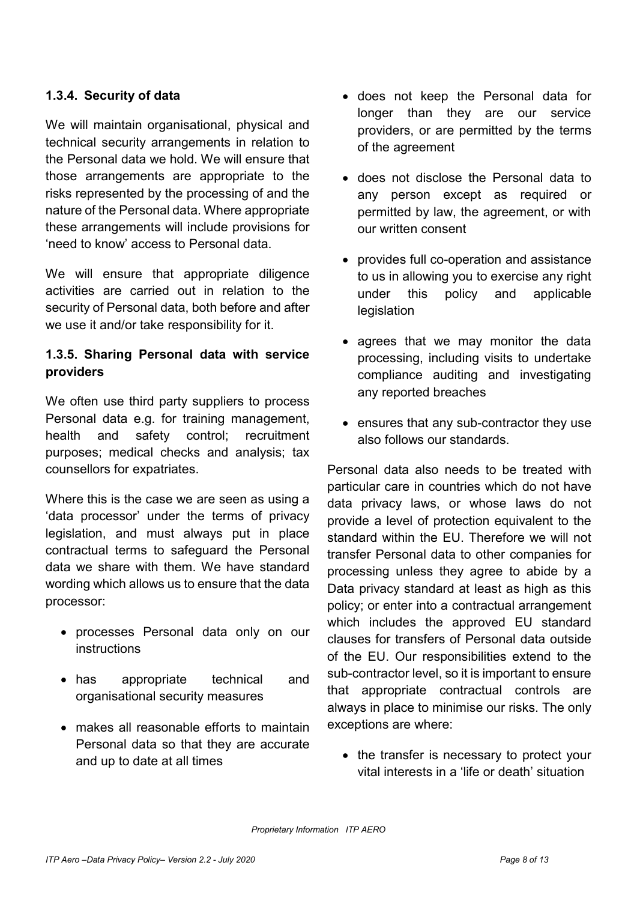## 1.3.4. Security of data

We will maintain organisational, physical and technical security arrangements in relation to the Personal data we hold. We will ensure that those arrangements are appropriate to the risks represented by the processing of and the nature of the Personal data. Where appropriate these arrangements will include provisions for 'need to know' access to Personal data.

We will ensure that appropriate diligence activities are carried out in relation to the security of Personal data, both before and after we use it and/or take responsibility for it.

## 1.3.5. Sharing Personal data with service providers

We often use third party suppliers to process Personal data e.g. for training management, health and safety control; recruitment purposes; medical checks and analysis; tax counsellors for expatriates.

Where this is the case we are seen as using a 'data processor' under the terms of privacy legislation, and must always put in place contractual terms to safeguard the Personal data we share with them. We have standard wording which allows us to ensure that the data processor:

- processes Personal data only on our instructions
- has appropriate technical and organisational security measures
- makes all reasonable efforts to maintain Personal data so that they are accurate and up to date at all times
- does not keep the Personal data for longer than they are our service providers, or are permitted by the terms of the agreement
- does not disclose the Personal data to any person except as required or permitted by law, the agreement, or with our written consent
- provides full co-operation and assistance to us in allowing you to exercise any right under this policy and applicable **legislation**
- agrees that we may monitor the data processing, including visits to undertake compliance auditing and investigating any reported breaches
- ensures that any sub-contractor they use also follows our standards.

Personal data also needs to be treated with particular care in countries which do not have data privacy laws, or whose laws do not provide a level of protection equivalent to the standard within the EU. Therefore we will not transfer Personal data to other companies for processing unless they agree to abide by a Data privacy standard at least as high as this policy; or enter into a contractual arrangement which includes the approved EU standard clauses for transfers of Personal data outside of the EU. Our responsibilities extend to the sub-contractor level, so it is important to ensure that appropriate contractual controls are always in place to minimise our risks. The only exceptions are where:

• the transfer is necessary to protect your vital interests in a 'life or death' situation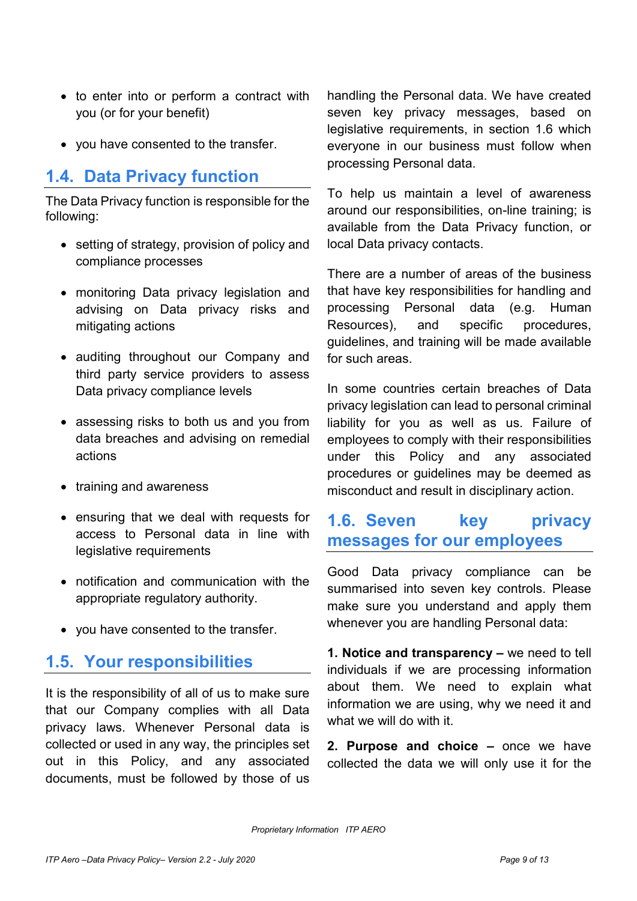- to enter into or perform a contract with you (or for your benefit)
- you have consented to the transfer.

## 1.4. Data Privacy function

The Data Privacy function is responsible for the following:

- setting of strategy, provision of policy and compliance processes
- monitoring Data privacy legislation and advising on Data privacy risks and mitigating actions
- auditing throughout our Company and third party service providers to assess Data privacy compliance levels
- assessing risks to both us and you from data breaches and advising on remedial actions
- training and awareness
- ensuring that we deal with requests for access to Personal data in line with legislative requirements
- notification and communication with the appropriate regulatory authority.
- you have consented to the transfer.

## 1.5. Your responsibilities

It is the responsibility of all of us to make sure that our Company complies with all Data privacy laws. Whenever Personal data is collected or used in any way, the principles set out in this Policy, and any associated documents, must be followed by those of us

handling the Personal data. We have created seven key privacy messages, based on legislative requirements, in section 1.6 which everyone in our business must follow when processing Personal data.

To help us maintain a level of awareness around our responsibilities, on-line training; is available from the Data Privacy function, or local Data privacy contacts.

There are a number of areas of the business that have key responsibilities for handling and processing Personal data (e.g. Human Resources), and specific procedures, guidelines, and training will be made available for such areas.

In some countries certain breaches of Data privacy legislation can lead to personal criminal liability for you as well as us. Failure of employees to comply with their responsibilities under this Policy and any associated procedures or guidelines may be deemed as misconduct and result in disciplinary action.

## 1.6. Seven key privacy messages for our employees

Good Data privacy compliance can be summarised into seven key controls. Please make sure you understand and apply them whenever you are handling Personal data:

1. Notice and transparency – we need to tell individuals if we are processing information about them. We need to explain what information we are using, why we need it and what we will do with it.

2. Purpose and choice – once we have collected the data we will only use it for the

Proprietary Information ITP AERO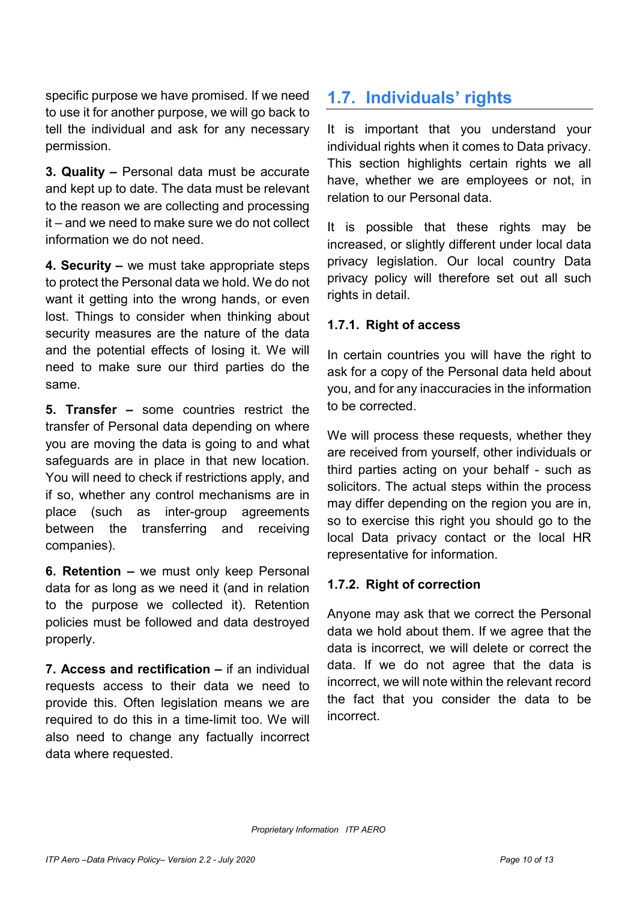specific purpose we have promised. If we need to use it for another purpose, we will go back to tell the individual and ask for any necessary permission.

3. Quality – Personal data must be accurate and kept up to date. The data must be relevant to the reason we are collecting and processing it – and we need to make sure we do not collect information we do not need.

4. Security – we must take appropriate steps to protect the Personal data we hold. We do not want it getting into the wrong hands, or even lost. Things to consider when thinking about security measures are the nature of the data and the potential effects of losing it. We will need to make sure our third parties do the same.

5. Transfer – some countries restrict the transfer of Personal data depending on where you are moving the data is going to and what safeguards are in place in that new location. You will need to check if restrictions apply, and if so, whether any control mechanisms are in place (such as inter-group agreements between the transferring and receiving companies).

6. Retention – we must only keep Personal data for as long as we need it (and in relation to the purpose we collected it). Retention policies must be followed and data destroyed properly.

7. Access and rectification – if an individual requests access to their data we need to provide this. Often legislation means we are required to do this in a time-limit too. We will also need to change any factually incorrect data where requested.

## 1.7. Individuals' rights

It is important that you understand your individual rights when it comes to Data privacy. This section highlights certain rights we all have, whether we are employees or not, in relation to our Personal data.

It is possible that these rights may be increased, or slightly different under local data privacy legislation. Our local country Data privacy policy will therefore set out all such rights in detail.

## 1.7.1. Right of access

In certain countries you will have the right to ask for a copy of the Personal data held about you, and for any inaccuracies in the information to be corrected.

We will process these requests, whether they are received from yourself, other individuals or third parties acting on your behalf - such as solicitors. The actual steps within the process may differ depending on the region you are in, so to exercise this right you should go to the local Data privacy contact or the local HR representative for information.

## 1.7.2. Right of correction

Anyone may ask that we correct the Personal data we hold about them. If we agree that the data is incorrect, we will delete or correct the data. If we do not agree that the data is incorrect, we will note within the relevant record the fact that you consider the data to be incorrect.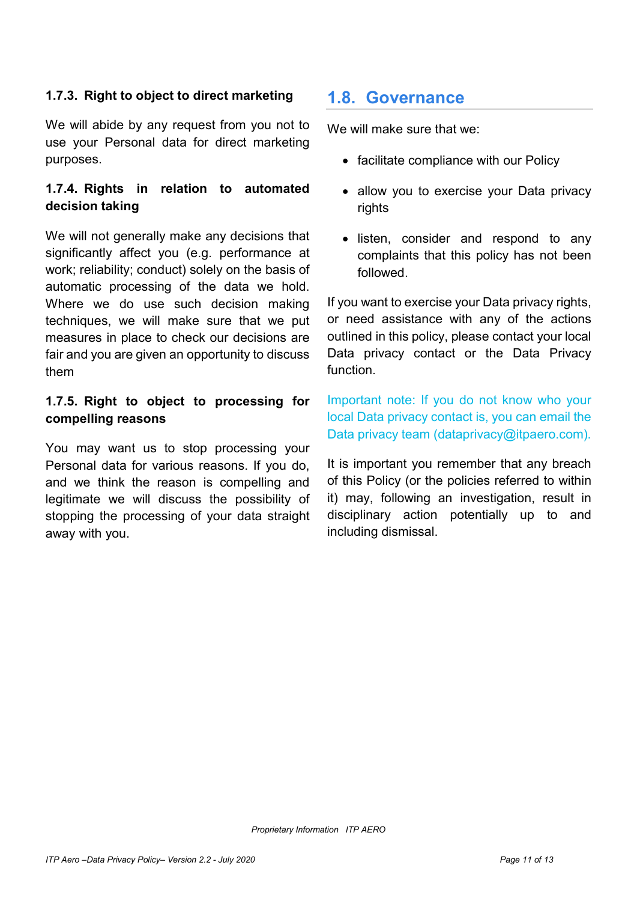## 1.7.3. Right to object to direct marketing

We will abide by any request from you not to use your Personal data for direct marketing purposes.

## 1.7.4. Rights in relation to automated decision taking

We will not generally make any decisions that significantly affect you (e.g. performance at work; reliability; conduct) solely on the basis of automatic processing of the data we hold. Where we do use such decision making techniques, we will make sure that we put measures in place to check our decisions are fair and you are given an opportunity to discuss them

## 1.7.5. Right to object to processing for compelling reasons

You may want us to stop processing your Personal data for various reasons. If you do, and we think the reason is compelling and legitimate we will discuss the possibility of stopping the processing of your data straight away with you.

## 1.8. Governance

We will make sure that we:

- facilitate compliance with our Policy
- allow you to exercise your Data privacy rights
- listen, consider and respond to any complaints that this policy has not been followed.

If you want to exercise your Data privacy rights, or need assistance with any of the actions outlined in this policy, please contact your local Data privacy contact or the Data Privacy function.

Important note: If you do not know who your local Data privacy contact is, you can email the Data privacy team (dataprivacy@itpaero.com).

It is important you remember that any breach of this Policy (or the policies referred to within it) may, following an investigation, result in disciplinary action potentially up to and including dismissal.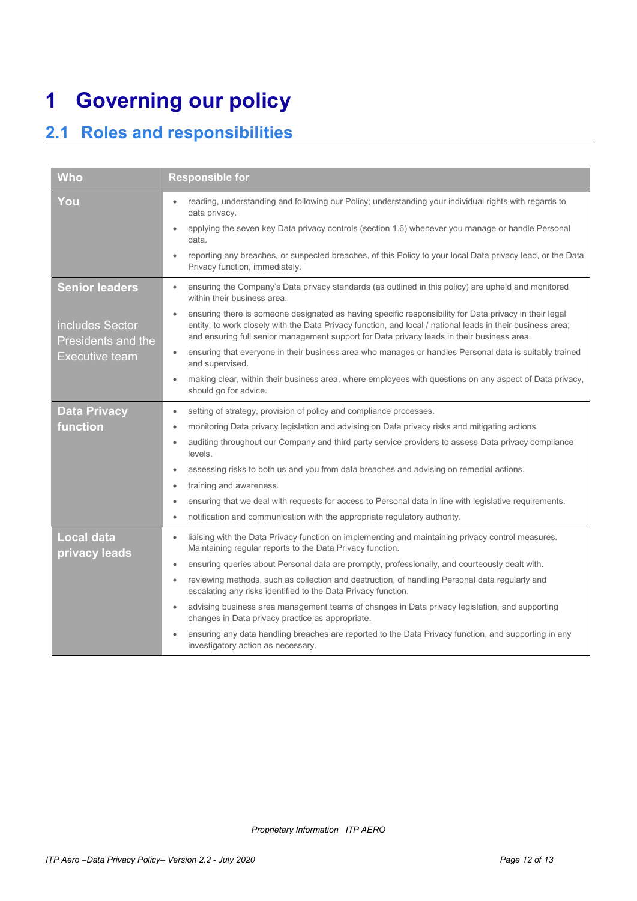# 1 Governing our policy

## 2.1 Roles and responsibilities

| <b>Who</b>                                              | <b>Responsible for</b>                                                                                                                                                                                                                                                                                                          |
|---------------------------------------------------------|---------------------------------------------------------------------------------------------------------------------------------------------------------------------------------------------------------------------------------------------------------------------------------------------------------------------------------|
| You                                                     | reading, understanding and following our Policy; understanding your individual rights with regards to<br>$\bullet$<br>data privacy.                                                                                                                                                                                             |
|                                                         | applying the seven key Data privacy controls (section 1.6) whenever you manage or handle Personal<br>$\bullet$<br>data.                                                                                                                                                                                                         |
|                                                         | reporting any breaches, or suspected breaches, of this Policy to your local Data privacy lead, or the Data<br>$\bullet$<br>Privacy function, immediately.                                                                                                                                                                       |
| <b>Senior leaders</b>                                   | ensuring the Company's Data privacy standards (as outlined in this policy) are upheld and monitored<br>$\bullet$<br>within their business area.                                                                                                                                                                                 |
| includes Sector<br>Presidents and the<br>Executive team | ensuring there is someone designated as having specific responsibility for Data privacy in their legal<br>$\bullet$<br>entity, to work closely with the Data Privacy function, and local / national leads in their business area;<br>and ensuring full senior management support for Data privacy leads in their business area. |
|                                                         | ensuring that everyone in their business area who manages or handles Personal data is suitably trained<br>$\bullet$<br>and supervised.                                                                                                                                                                                          |
|                                                         | making clear, within their business area, where employees with questions on any aspect of Data privacy,<br>$\bullet$<br>should go for advice.                                                                                                                                                                                   |
| <b>Data Privacy</b>                                     | setting of strategy, provision of policy and compliance processes.<br>٠                                                                                                                                                                                                                                                         |
| function                                                | monitoring Data privacy legislation and advising on Data privacy risks and mitigating actions.<br>$\bullet$                                                                                                                                                                                                                     |
|                                                         | auditing throughout our Company and third party service providers to assess Data privacy compliance<br>levels.                                                                                                                                                                                                                  |
|                                                         | assessing risks to both us and you from data breaches and advising on remedial actions.<br>$\bullet$                                                                                                                                                                                                                            |
|                                                         | training and awareness.<br>$\bullet$                                                                                                                                                                                                                                                                                            |
|                                                         | ensuring that we deal with requests for access to Personal data in line with legislative requirements.<br>$\bullet$                                                                                                                                                                                                             |
|                                                         | notification and communication with the appropriate regulatory authority.<br>$\bullet$                                                                                                                                                                                                                                          |
| <b>Local data</b><br>privacy leads                      | liaising with the Data Privacy function on implementing and maintaining privacy control measures.<br>$\bullet$<br>Maintaining regular reports to the Data Privacy function.                                                                                                                                                     |
|                                                         | ensuring queries about Personal data are promptly, professionally, and courteously dealt with.<br>$\bullet$                                                                                                                                                                                                                     |
|                                                         | reviewing methods, such as collection and destruction, of handling Personal data regularly and<br>$\bullet$<br>escalating any risks identified to the Data Privacy function.                                                                                                                                                    |
|                                                         | advising business area management teams of changes in Data privacy legislation, and supporting<br>$\bullet$<br>changes in Data privacy practice as appropriate.                                                                                                                                                                 |
|                                                         | ensuring any data handling breaches are reported to the Data Privacy function, and supporting in any<br>investigatory action as necessary.                                                                                                                                                                                      |